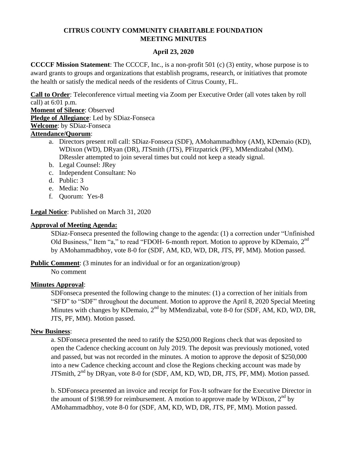# **CITRUS COUNTY COMMUNITY CHARITABLE FOUNDATION MEETING MINUTES**

# **April 23, 2020**

**CCCCF Mission Statement**: The CCCCF, Inc., is a non-profit 501 (c) (3) entity, whose purpose is to award grants to groups and organizations that establish programs, research, or initiatives that promote the health or satisfy the medical needs of the residents of Citrus County, FL.

**Call to Order**: Teleconference virtual meeting via Zoom per Executive Order (all votes taken by roll call) at 6:01 p.m.

**Moment of Silence**: Observed

**Pledge of Allegiance**: Led by SDiaz-Fonseca

**Welcome**: by SDiaz-Fonseca

## **Attendance/Quorum**:

- a. Directors present roll call: SDiaz-Fonseca (SDF), AMohammadbhoy (AM), KDemaio (KD), WDixon (WD), DRyan (DR), JTSmith (JTS), PFitzpatrick (PF), MMendizabal (MM). DRessler attempted to join several times but could not keep a steady signal.
- b. Legal Counsel: JRey
- c. Independent Consultant: No
- d. Public: 3
- e. Media: No
- f. Quorum: Yes-8

**Legal Notice**: Published on March 31, 2020

## **Approval of Meeting Agenda:**

SDiaz-Fonseca presented the following change to the agenda: (1) a correction under "Unfinished Old Business," Item "a," to read "FDOH- 6-month report. Motion to approve by KDemaio, 2<sup>nd</sup> by AMohammadbhoy, vote 8-0 for (SDF, AM, KD, WD, DR, JTS, PF, MM). Motion passed.

**Public Comment:** (3 minutes for an individual or for an organization/group) No comment

## **Minutes Approval**:

SDFonseca presented the following change to the minutes: (1) a correction of her initials from "SFD" to "SDF" throughout the document. Motion to approve the April 8, 2020 Special Meeting Minutes with changes by KDemaio,  $2<sup>nd</sup>$  by MMendizabal, vote 8-0 for (SDF, AM, KD, WD, DR, JTS, PF, MM). Motion passed.

## **New Business**:

a. SDFonseca presented the need to ratify the \$250,000 Regions check that was deposited to open the Cadence checking account on July 2019. The deposit was previously motioned, voted and passed, but was not recorded in the minutes. A motion to approve the deposit of \$250,000 into a new Cadence checking account and close the Regions checking account was made by JTSmith, 2<sup>nd</sup> by DRyan, vote 8-0 for (SDF, AM, KD, WD, DR, JTS, PF, MM). Motion passed.

b. SDFonseca presented an invoice and receipt for Fox-It software for the Executive Director in the amount of \$198.99 for reimbursement. A motion to approve made by WDixon,  $2<sup>nd</sup>$  by AMohammadbhoy, vote 8-0 for (SDF, AM, KD, WD, DR, JTS, PF, MM). Motion passed.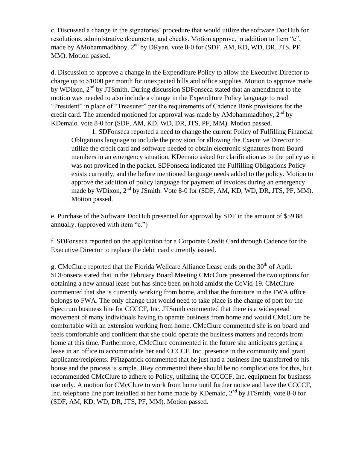c. Discussed a change in the signatories' procedure that would utilize the software DocHub for resolutions, administrative documents, and checks. Motion approve, in addition to Item "e", made by AMohammadbhoy,  $2^{nd}$  by DRyan, vote 8-0 for (SDF, AM, KD, WD, DR, JTS, PF, MM). Motion passed.

d. Discussion to approve a change in the Expenditure Policy to allow the Executive Director to charge up to \$1000 per month for unexpected bills and office supplies. Motion to approve made by WDixon,  $2<sup>nd</sup>$  by JTSmith. During discussion SDFonseca stated that an amendment to the motion was needed to also include a change in the Expenditure Policy language to read "President" in place of "Treasurer" per the requirements of Cadence Bank provisions for the credit card. The amended motioned for approval was made by AMohammadbhoy,  $2<sup>nd</sup>$  by KDemaio. vote 8-0 for (SDF, AM, KD, WD, DR, JTS, PF, MM). Motion passed.

1. SDFonseca reported a need to change the current Policy of Fulfilling Financial Obligations language to include the provision for allowing the Executive Director to utilize the credit card and software needed to obtain electronic signatures from Board members in an emergency situation. KDemaio asked for clarification as to the policy as it was not provided in the packet. SDFonseca indicated the Fulfilling Obligations Policy exists currently, and the before mentioned language needs added to the policy. Motion to approve the addition of policy language for payment of invoices during an emergency made by WDixon,  $2<sup>nd</sup>$  by JSmith. Vote 8-0 for (SDF, AM, KD, WD, DR, JTS, PF, MM). Motion passed.

e. Purchase of the Software DocHub presented for approval by SDF in the amount of \$59.88 annually. (approved with item "c.")

f. SDFonseca reported on the application for a Corporate Credit Card through Cadence for the Executive Director to replace the debit card currently issued.

g. CMcClure reported that the Florida Wellcare Alliance Lease ends on the 30<sup>th</sup> of April. SDFonseca stated that in the February Board Meeting CMcClure presented the two options for obtaining a new annual lease but has since been on hold amidst the CoVid-19. CMcClure commented that she is currently working from home, and that the furniture in the FWA office belongs to FWA. The only change that would need to take place is the change of port for the Spectrum business line for CCCCF, Inc. JTSmith commented that there is a widespread movement of many individuals having to operate business from home and would CMcClure be comfortable with an extension working from home. CMcClure commented she is on board and feels comfortable and confident that she could operate the business matters and records from home at this time. Furthermore, CMcClure commented in the future she anticipates getting a lease in an office to accommodate her and CCCCF, Inc. presence in the community and grant applicants/recipients. PFitzpatrick commented that he just had a business line transferred to his house and the process is simple. JRey commented there should be no complications for this, but recommended CMcClure to adhere to Policy, utilizing the CCCCF, Inc. equipment for business use only. A motion for CMcClure to work from home until further notice and have the CCCCF, Inc. telephone line port installed at her home made by KDemaio,  $2<sup>nd</sup>$  by JTSmith, vote 8-0 for (SDF, AM, KD, WD, DR, JTS, PF, MM). Motion passed.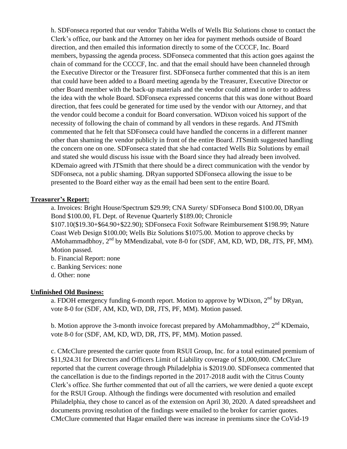h. SDFonseca reported that our vendor Tabitha Wells of Wells Biz Solutions chose to contact the Clerk's office, our bank and the Attorney on her idea for payment methods outside of Board direction, and then emailed this information directly to some of the CCCCF, Inc. Board members, bypassing the agenda process. SDFonseca commented that this action goes against the chain of command for the CCCCF, Inc. and that the email should have been channeled through the Executive Director or the Treasurer first. SDFonseca further commented that this is an item that could have been added to a Board meeting agenda by the Treasurer, Executive Director or other Board member with the back-up materials and the vendor could attend in order to address the idea with the whole Board. SDFonseca expressed concerns that this was done without Board direction, that fees could be generated for time used by the vendor with our Attorney, and that the vendor could become a conduit for Board conversation. WDixon voiced his support of the necessity of following the chain of command by all vendors in these regards. And JTSmith commented that he felt that SDFonseca could have handled the concerns in a different manner other than shaming the vendor publicly in front of the entire Board. JTSmith suggested handling the concern one on one. SDFonseca stated that she had contacted Wells Biz Solutions by email and stated she would discuss his issue with the Board since they had already been involved. KDemaio agreed with JTSmith that there should be a direct communication with the vendor by SDFonseca, not a public shaming. DRyan supported SDFonseca allowing the issue to be presented to the Board either way as the email had been sent to the entire Board.

### **Treasurer's Report:**

a. Invoices: Bright House/Spectrum \$29.99; CNA Surety/ SDFonseca Bond \$100.00, DRyan Bond \$100.00, FL Dept. of Revenue Quarterly \$189.00; Chronicle \$107.10(\$19.30+\$64.90+\$22.90); SDFonseca Foxit Software Reimbursement \$198.99; Nature Coast Web Design \$100.00; Wells Biz Solutions \$1075.00. Motion to approve checks by AMohammadbhoy,  $2<sup>nd</sup>$  by MMendizabal, vote 8-0 for (SDF, AM, KD, WD, DR, JTS, PF, MM). Motion passed.

- b. Financial Report: none
- c. Banking Services: none
- d. Other: none

### **Unfinished Old Business:**

a. FDOH emergency funding 6-month report. Motion to approve by WDixon,  $2^{nd}$  by DRyan, vote 8-0 for (SDF, AM, KD, WD, DR, JTS, PF, MM). Motion passed.

b. Motion approve the 3-month invoice forecast prepared by AMohammadbhoy, 2<sup>nd</sup> KDemaio, vote 8-0 for (SDF, AM, KD, WD, DR, JTS, PF, MM). Motion passed.

c. CMcClure presented the carrier quote from RSUI Group, Inc. for a total estimated premium of \$11,924.31 for Directors and Officers Limit of Liability coverage of \$1,000,000. CMcClure reported that the current coverage through Philadelphia is \$2019.00. SDFonseca commented that the cancellation is due to the findings reported in the 2017-2018 audit with the Citrus County Clerk's office. She further commented that out of all the carriers, we were denied a quote except for the RSUI Group. Although the findings were documented with resolution and emailed Philadelphia, they chose to cancel as of the extension on April 30, 2020. A dated spreadsheet and documents proving resolution of the findings were emailed to the broker for carrier quotes. CMcClure commented that Hagar emailed there was increase in premiums since the CoVid-19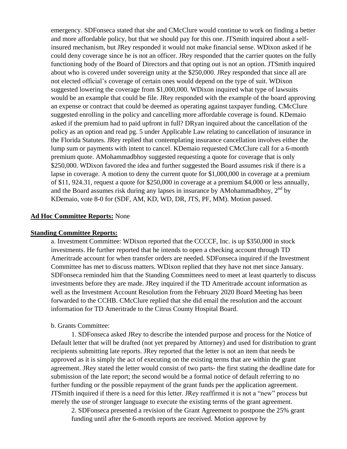emergency. SDFonseca stated that she and CMcClure would continue to work on finding a better and more affordable policy, but that we should pay for this one. JTSmith inquired about a selfinsured mechanism, but JRey responded it would not make financial sense. WDixon asked if he could deny coverage since he is not an officer. JRey responded that the carrier quotes on the fully functioning body of the Board of Directors and that opting out is not an option. JTSmith inquired about who is covered under sovereign unity at the \$250,000. JRey responded that since all are not elected official's coverage of certain ones would depend on the type of suit. WDixon suggested lowering the coverage from \$1,000,000. WDixon inquired what type of lawsuits would be an example that could be file. JRey responded with the example of the board approving an expense or contract that could be deemed as operating against taxpayer funding. CMcClure suggested enrolling in the policy and cancelling more affordable coverage is found. KDemaio asked if the premium had to paid upfront in full? DRyan inquired about the cancellation of the policy as an option and read pg. 5 under Applicable Law relating to cancellation of insurance in the Florida Statutes. JRey replied that contemplating insurance cancellation involves either the lump sum or payments with intent to cancel. KDemaio requested CMcClure call for a 6-month premium quote. AMohammadbhoy suggested requesting a quote for coverage that is only \$250,000. WDixon favored the idea and further suggested the Board assumes risk if there is a lapse in coverage. A motion to deny the current quote for \$1,000,000 in coverage at a premium of \$11, 924.31, request a quote for \$250,000 in coverage at a premium \$4,000 or less annually, and the Board assumes risk during any lapses in insurance by AMohammadbhoy,  $2<sup>nd</sup>$  by KDemaio, vote 8-0 for (SDF, AM, KD, WD, DR, JTS, PF, MM). Motion passed.

#### **Ad Hoc Committee Reports:** None

#### **Standing Committee Reports:**

a. Investment Committee: WDixon reported that the CCCCF, Inc. is up \$350,000 in stock investments. He further reported that he intends to open a checking account through TD Ameritrade account for when transfer orders are needed. SDFonseca inquired if the Investment Committee has met to discuss matters. WDixon replied that they have not met since January. SDFonseca reminded him that the Standing Committees need to meet at least quarterly to discuss investments before they are made. JRey inquired if the TD Ameritrade account information as well as the Investment Account Resolution from the February 2020 Board Meeting has been forwarded to the CCHB. CMcClure replied that she did email the resolution and the account information for TD Ameritrade to the Citrus County Hospital Board.

#### b. Grants Committee:

1. SDFonseca asked JRey to describe the intended purpose and process for the Notice of Default letter that will be drafted (not yet prepared by Attorney) and used for distribution to grant recipients submitting late reports. JRey reported that the letter is not an item that needs be approved as it is simply the act of executing on the existing terms that are within the grant agreement. JRey stated the letter would consist of two parts- the first stating the deadline date for submission of the late report; the second would be a formal notice of default referring to no further funding or the possible repayment of the grant funds per the application agreement. JTSmith inquired if there is a need for this letter. JRey reaffirmed it is not a "new" process but merely the use of stronger language to execute the existing terms of the grant agreement.

2. SDFonseca presented a revision of the Grant Agreement to postpone the 25% grant funding until after the 6-month reports are received. Motion approve by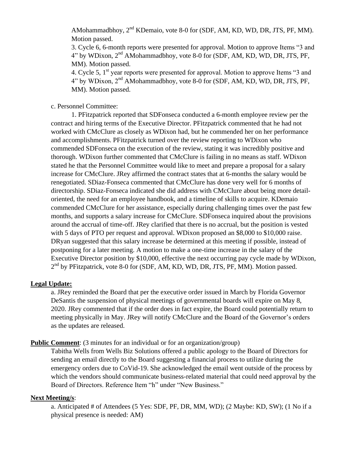AMohammadbhoy, 2<sup>nd</sup> KDemaio, vote 8-0 for (SDF, AM, KD, WD, DR, JTS, PF, MM). Motion passed.

3. Cycle 6, 6-month reports were presented for approval. Motion to approve Items "3 and 4" by WDixon, 2<sup>nd</sup> AMohammadbhoy, vote 8-0 for (SDF, AM, KD, WD, DR, JTS, PF, MM). Motion passed.

4. Cycle 5, 1<sup>st</sup> year reports were presented for approval. Motion to approve Items "3 and 4" by WDixon, 2nd AMohammadbhoy, vote 8-0 for (SDF, AM, KD, WD, DR, JTS, PF, MM). Motion passed.

c. Personnel Committee:

1. PFitzpatrick reported that SDFonseca conducted a 6-month employee review per the contract and hiring terms of the Executive Director. PFitzpatrick commented that he had not worked with CMcClure as closely as WDixon had, but he commended her on her performance and accomplishments. PFitzpatrick turned over the review reporting to WDixon who commended SDFonseca on the execution of the review, stating it was incredibly positive and thorough. WDixon further commented that CMcClure is failing in no means as staff. WDixon stated he that the Personnel Committee would like to meet and prepare a proposal for a salary increase for CMcClure. JRey affirmed the contract states that at 6-months the salary would be renegotiated. SDiaz-Fonseca commented that CMcClure has done very well for 6 months of directorship. SDiaz-Fonseca indicated she did address with CMcClure about being more detailoriented, the need for an employee handbook, and a timeline of skills to acquire. KDemaio commended CMcClure for her assistance, especially during challenging times over the past few months, and supports a salary increase for CMcClure. SDFonseca inquired about the provisions around the accrual of time-off. JRey clarified that there is no accrual, but the position is vested with 5 days of PTO per request and approval. WDixon proposed an \$8,000 to \$10,000 raise. DRyan suggested that this salary increase be determined at this meeting if possible, instead of postponing for a later meeting. A motion to make a one-time increase in the salary of the Executive Director position by \$10,000, effective the next occurring pay cycle made by WDixon, 2<sup>nd</sup> by PFitzpatrick, vote 8-0 for (SDF, AM, KD, WD, DR, JTS, PF, MM). Motion passed.

### **Legal Update:**

a. JRey reminded the Board that per the executive order issued in March by Florida Governor DeSantis the suspension of physical meetings of governmental boards will expire on May 8, 2020. JRey commented that if the order does in fact expire, the Board could potentially return to meeting physically in May. JRey will notify CMcClure and the Board of the Governor's orders as the updates are released.

### **Public Comment**: (3 minutes for an individual or for an organization/group)

Tabitha Wells from Wells Biz Solutions offered a public apology to the Board of Directors for sending an email directly to the Board suggesting a financial process to utilize during the emergency orders due to CoVid-19. She acknowledged the email went outside of the process by which the vendors should communicate business-related material that could need approval by the Board of Directors. Reference Item "h" under "New Business."

### **Next Meeting/s**:

a. Anticipated # of Attendees (5 Yes: SDF, PF, DR, MM, WD); (2 Maybe: KD, SW); (1 No if a physical presence is needed: AM)